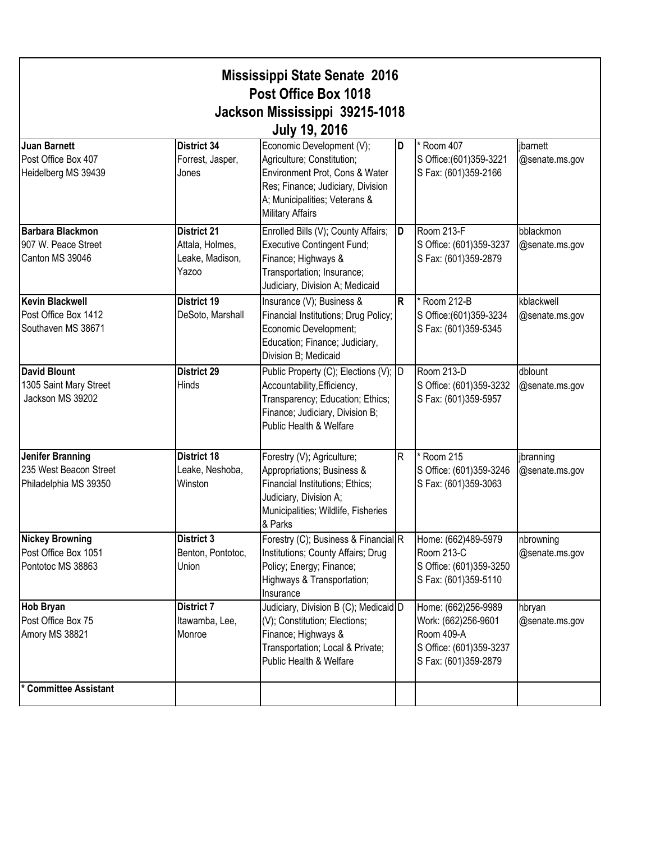| <b>Mississippi State Senate 2016</b><br>Post Office Box 1018<br>Jackson Mississippi 39215-1018<br><b>July 19, 2016</b> |                                                                   |                                                                                                                                                                                            |    |                                                                                                             |                              |  |  |
|------------------------------------------------------------------------------------------------------------------------|-------------------------------------------------------------------|--------------------------------------------------------------------------------------------------------------------------------------------------------------------------------------------|----|-------------------------------------------------------------------------------------------------------------|------------------------------|--|--|
| <b>Juan Barnett</b><br>Post Office Box 407<br>Heidelberg MS 39439                                                      | District 34<br>Forrest, Jasper,<br>Jones                          | Economic Development (V);<br>Agriculture; Constitution;<br>Environment Prot, Cons & Water<br>Res; Finance; Judiciary, Division<br>A; Municipalities; Veterans &<br><b>Military Affairs</b> | ID | * Room 407<br>S Office: (601) 359-3221<br>S Fax: (601)359-2166                                              | jbarnett<br>@senate.ms.gov   |  |  |
| <b>Barbara Blackmon</b><br>907 W. Peace Street<br>Canton MS 39046                                                      | <b>District 21</b><br>Attala, Holmes,<br>Leake, Madison,<br>Yazoo | Enrolled Bills (V); County Affairs;<br><b>Executive Contingent Fund;</b><br>Finance; Highways &<br>Transportation; Insurance;<br>Judiciary, Division A; Medicaid                           | ID | Room 213-F<br>S Office: (601)359-3237<br>S Fax: (601)359-2879                                               | bblackmon<br>@senate.ms.gov  |  |  |
| <b>Kevin Blackwell</b><br>Post Office Box 1412<br>Southaven MS 38671                                                   | <b>District 19</b><br>DeSoto, Marshall                            | Insurance (V); Business &<br>Financial Institutions; Drug Policy;<br>Economic Development;<br>Education; Finance; Judiciary,<br>Division B; Medicaid                                       | R. | * Room 212-B<br>S Office: (601) 359-3234<br>S Fax: (601)359-5345                                            | kblackwell<br>@senate.ms.gov |  |  |
| <b>David Blount</b><br>1305 Saint Mary Street<br>Jackson MS 39202                                                      | <b>District 29</b><br>Hinds                                       | Public Property (C); Elections (V); D<br>Accountability, Efficiency,<br>Transparency; Education; Ethics;<br>Finance; Judiciary, Division B;<br>Public Health & Welfare                     |    | Room 213-D<br>S Office: (601)359-3232<br>S Fax: (601)359-5957                                               | dblount<br>@senate.ms.gov    |  |  |
| <b>Jenifer Branning</b><br>235 West Beacon Street<br>Philadelphia MS 39350                                             | <b>District 18</b><br>Leake, Neshoba,<br>Winston                  | Forestry (V); Agriculture;<br>Appropriations; Business &<br>Financial Institutions; Ethics;<br>Judiciary, Division A;<br>Municipalities; Wildlife, Fisheries<br>& Parks                    | R. | * Room 215<br>S Office: (601)359-3246<br>S Fax: (601)359-3063                                               | jbranning<br>@senate.ms.gov  |  |  |
| <b>Nickey Browning</b><br>Post Office Box 1051<br>Pontotoc MS 38863                                                    | <b>District 3</b><br>Benton, Pontotoc,<br>Union                   | Forestry (C); Business & Financial R<br>Institutions; County Affairs; Drug<br>Policy; Energy; Finance;<br>Highways & Transportation;<br>Insurance                                          |    | Home: (662)489-5979<br>Room 213-C<br>S Office: (601)359-3250<br>S Fax: (601)359-5110                        | nbrowning<br>@senate.ms.gov  |  |  |
| <b>Hob Bryan</b><br>Post Office Box 75<br>Amory MS 38821                                                               | <b>District 7</b><br>Itawamba, Lee,<br>Monroe                     | Judiciary, Division B (C); Medicaid D<br>(V); Constitution; Elections;<br>Finance; Highways &<br>Transportation; Local & Private;<br>Public Health & Welfare                               |    | Home: (662)256-9989<br>Work: (662)256-9601<br>Room 409-A<br>S Office: (601)359-3237<br>S Fax: (601)359-2879 | hbryan<br>@senate.ms.gov     |  |  |
| * Committee Assistant                                                                                                  |                                                                   |                                                                                                                                                                                            |    |                                                                                                             |                              |  |  |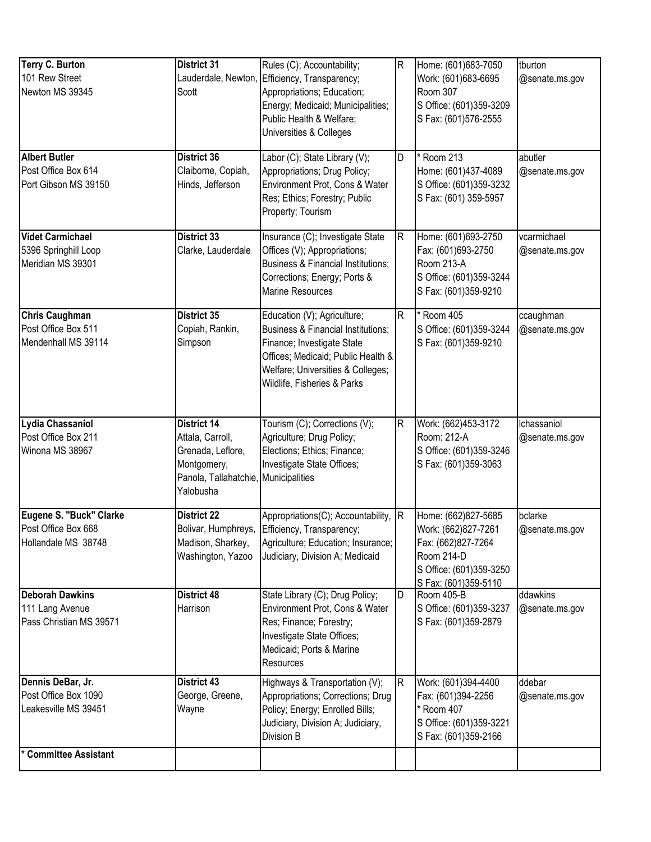| <b>Terry C. Burton</b><br>101 Rew Street<br>Newton MS 39345           | <b>District 31</b><br>Scott                                                                                                     | Rules (C); Accountability;<br>Lauderdale, Newton, Efficiency, Transparency;<br>Appropriations; Education;<br>Energy; Medicaid; Municipalities;<br>Public Health & Welfare;<br>Universities & Colleges                | $\mathsf R$ | Home: (601)683-7050<br>Work: (601)683-6695<br>Room 307<br>S Office: (601)359-3209<br>S Fax: (601)576-2555                         | tburton<br>@senate.ms.gov     |
|-----------------------------------------------------------------------|---------------------------------------------------------------------------------------------------------------------------------|----------------------------------------------------------------------------------------------------------------------------------------------------------------------------------------------------------------------|-------------|-----------------------------------------------------------------------------------------------------------------------------------|-------------------------------|
| <b>Albert Butler</b><br>Post Office Box 614<br>Port Gibson MS 39150   | District 36<br>Claiborne, Copiah,<br>Hinds, Jefferson                                                                           | Labor (C); State Library (V);<br>Appropriations; Drug Policy;<br>Environment Prot, Cons & Water<br>Res; Ethics; Forestry; Public<br>Property; Tourism                                                                | D           | * Room 213<br>Home: (601)437-4089<br>S Office: (601)359-3232<br>S Fax: (601) 359-5957                                             | abutler<br>@senate.ms.gov     |
| <b>Videt Carmichael</b><br>5396 Springhill Loop<br>Meridian MS 39301  | District 33<br>Clarke, Lauderdale                                                                                               | Insurance (C); Investigate State<br>Offices (V); Appropriations;<br><b>Business &amp; Financial Institutions;</b><br>Corrections; Energy; Ports &<br><b>Marine Resources</b>                                         | R           | Home: (601)693-2750<br>Fax: (601)693-2750<br>Room 213-A<br>S Office: (601)359-3244<br>S Fax: (601)359-9210                        | vcarmichael<br>@senate.ms.gov |
| <b>Chris Caughman</b><br>Post Office Box 511<br>Mendenhall MS 39114   | District 35<br>Copiah, Rankin,<br>Simpson                                                                                       | Education (V); Agriculture;<br><b>Business &amp; Financial Institutions;</b><br>Finance; Investigate State<br>Offices; Medicaid; Public Health &<br>Welfare; Universities & Colleges;<br>Wildlife, Fisheries & Parks | R           | * Room 405<br>S Office: (601)359-3244<br>S Fax: (601)359-9210                                                                     | ccaughman<br>@senate.ms.gov   |
| Lydia Chassaniol<br>Post Office Box 211<br>Winona MS 38967            | <b>District 14</b><br>Attala, Carroll,<br>Grenada, Leflore,<br>Montgomery,<br>Panola, Tallahatchie, Municipalities<br>Yalobusha | Tourism (C); Corrections (V);<br>Agriculture; Drug Policy;<br>Elections; Ethics; Finance;<br>Investigate State Offices;                                                                                              | R           | Work: (662)453-3172<br>Room: 212-A<br>S Office: (601)359-3246<br>S Fax: (601)359-3063                                             | Ichassaniol<br>@senate.ms.gov |
| Eugene S. "Buck" Clarke<br>Post Office Box 668<br>Hollandale MS 38748 | <b>District 22</b><br>Bolivar, Humphreys,<br>Madison, Sharkey,<br>Washington, Yazoo                                             | Appropriations(C); Accountability, R<br>Efficiency, Transparency;<br>Agriculture; Education; Insurance;<br>Judiciary, Division A; Medicaid                                                                           |             | Home: (662)827-5685<br>Work: (662)827-7261<br>Fax: (662)827-7264<br>Room 214-D<br>S Office: (601)359-3250<br>S Fax: (601)359-5110 | bclarke<br>@senate.ms.gov     |
| <b>Deborah Dawkins</b><br>111 Lang Avenue<br>Pass Christian MS 39571  | District 48<br>Harrison                                                                                                         | State Library (C); Drug Policy;<br>Environment Prot, Cons & Water<br>Res; Finance; Forestry;<br>Investigate State Offices;<br>Medicaid; Ports & Marine<br>Resources                                                  | D           | Room 405-B<br>S Office: (601)359-3237<br>S Fax: (601)359-2879                                                                     | ddawkins<br>@senate.ms.gov    |
| Dennis DeBar, Jr.<br>Post Office Box 1090<br>Leakesville MS 39451     | District 43<br>George, Greene,<br>Wayne                                                                                         | Highways & Transportation (V);<br>Appropriations; Corrections; Drug<br>Policy; Energy; Enrolled Bills;<br>Judiciary, Division A; Judiciary,<br>Division B                                                            | R           | Work: (601)394-4400<br>Fax: (601)394-2256<br>* Room 407<br>S Office: (601)359-3221<br>S Fax: (601)359-2166                        | ddebar<br>@senate.ms.gov      |
| <b>Committee Assistant</b>                                            |                                                                                                                                 |                                                                                                                                                                                                                      |             |                                                                                                                                   |                               |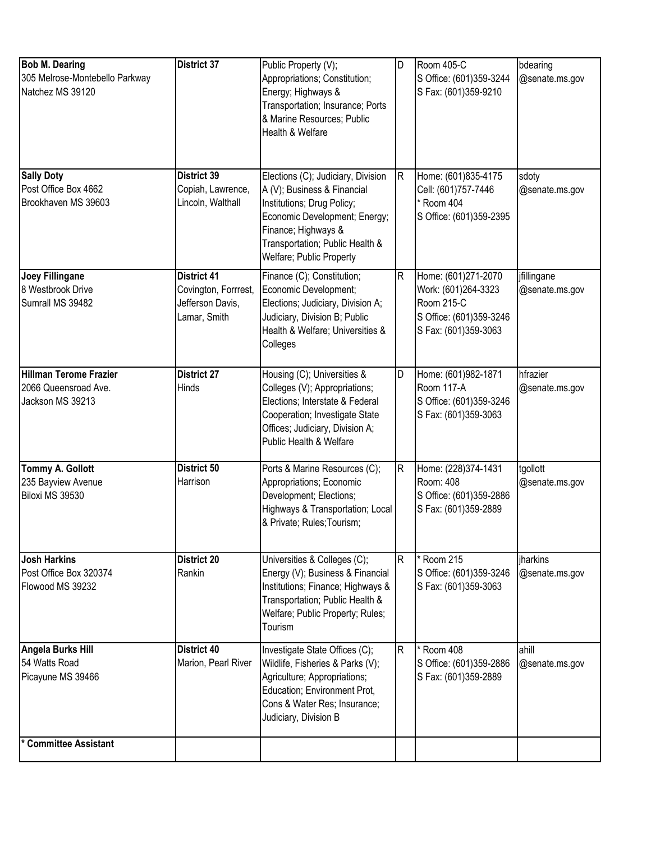| <b>Bob M. Dearing</b><br>305 Melrose-Montebello Parkway<br>Natchez MS 39120 | <b>District 37</b>                                                             | Public Property (V);<br>Appropriations; Constitution;<br>Energy; Highways &<br>Transportation; Insurance; Ports<br>& Marine Resources; Public<br>Health & Welfare                                                      | D                       | Room 405-C<br>S Office: (601)359-3244<br>S Fax: (601)359-9210                                               | bdearing<br>@senate.ms.gov    |
|-----------------------------------------------------------------------------|--------------------------------------------------------------------------------|------------------------------------------------------------------------------------------------------------------------------------------------------------------------------------------------------------------------|-------------------------|-------------------------------------------------------------------------------------------------------------|-------------------------------|
| <b>Sally Doty</b><br>Post Office Box 4662<br>Brookhaven MS 39603            | <b>District 39</b><br>Copiah, Lawrence,<br>Lincoln, Walthall                   | Elections (C); Judiciary, Division<br>A (V); Business & Financial<br>Institutions; Drug Policy;<br>Economic Development; Energy;<br>Finance; Highways &<br>Transportation; Public Health &<br>Welfare; Public Property | $\overline{\mathsf{R}}$ | Home: (601)835-4175<br>Cell: (601)757-7446<br>* Room 404<br>S Office: (601)359-2395                         | sdoty<br>@senate.ms.gov       |
| <b>Joey Fillingane</b><br>8 Westbrook Drive<br>Sumrall MS 39482             | <b>District 41</b><br>Covington, Forrrest,<br>Jefferson Davis,<br>Lamar, Smith | Finance (C); Constitution;<br>Economic Development;<br>Elections; Judiciary, Division A;<br>Judiciary, Division B; Public<br>Health & Welfare; Universities &<br>Colleges                                              | $\overline{\mathsf{R}}$ | Home: (601)271-2070<br>Work: (601)264-3323<br>Room 215-C<br>S Office: (601)359-3246<br>S Fax: (601)359-3063 | jfillingane<br>@senate.ms.gov |
| <b>Hillman Terome Frazier</b><br>2066 Queensroad Ave.<br>Jackson MS 39213   | <b>District 27</b><br>Hinds                                                    | Housing (C); Universities &<br>Colleges (V); Appropriations;<br>Elections; Interstate & Federal<br>Cooperation; Investigate State<br>Offices; Judiciary, Division A;<br>Public Health & Welfare                        | D                       | Home: (601)982-1871<br>Room 117-A<br>S Office: (601)359-3246<br>S Fax: (601)359-3063                        | hfrazier<br>@senate.ms.gov    |
| <b>Tommy A. Gollott</b><br>235 Bayview Avenue<br>Biloxi MS 39530            | District 50<br>Harrison                                                        | Ports & Marine Resources (C);<br>Appropriations; Economic<br>Development; Elections;<br>Highways & Transportation; Local<br>& Private; Rules; Tourism;                                                                 | $\overline{\mathsf{R}}$ | Home: (228)374-1431<br>Room: 408<br>S Office: (601)359-2886<br>S Fax: (601)359-2889                         | tgollott<br>@senate.ms.gov    |
| <b>Josh Harkins</b><br>Post Office Box 320374<br>Flowood MS 39232           | <b>District 20</b><br>Rankin                                                   | Universities & Colleges (C);<br>Energy (V); Business & Financial<br>Institutions; Finance; Highways &<br>Transportation; Public Health &<br>Welfare; Public Property; Rules;<br>Tourism                                | $\mathsf{R}$            | * Room 215<br>S Office: (601)359-3246<br>S Fax: (601)359-3063                                               | jharkins<br>@senate.ms.gov    |
| Angela Burks Hill<br>54 Watts Road<br>Picayune MS 39466                     | <b>District 40</b><br>Marion, Pearl River                                      | Investigate State Offices (C);<br>Wildlife, Fisheries & Parks (V);<br>Agriculture; Appropriations;<br>Education; Environment Prot,<br>Cons & Water Res; Insurance;<br>Judiciary, Division B                            | R.                      | $*$ Room 408<br>S Office: (601)359-2886<br>S Fax: (601)359-2889                                             | ahill<br>@senate.ms.gov       |
| <b>Committee Assistant</b>                                                  |                                                                                |                                                                                                                                                                                                                        |                         |                                                                                                             |                               |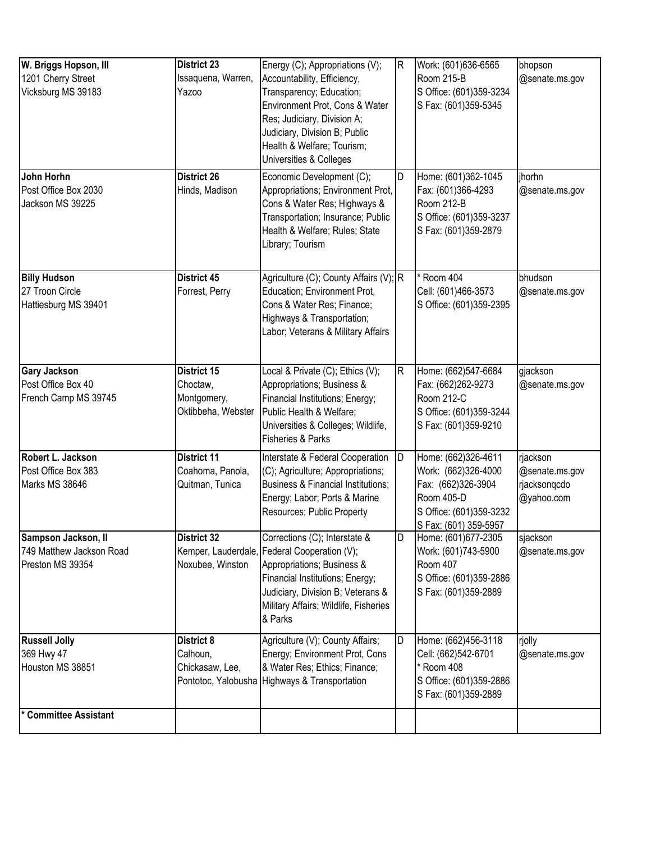| W. Briggs Hopson, III<br>1201 Cherry Street<br>Vicksburg MS 39183<br>John Horhn<br>Post Office Box 2030 | <b>District 23</b><br>Issaquena, Warren,<br>Yazoo<br><b>District 26</b><br>Hinds, Madison | Energy (C); Appropriations (V);<br>Accountability, Efficiency,<br>Transparency; Education;<br>Environment Prot, Cons & Water<br>Res; Judiciary, Division A;<br>Judiciary, Division B; Public<br>Health & Welfare; Tourism;<br>Universities & Colleges<br>Economic Development (C);<br>Appropriations; Environment Prot, | IR.<br>ID | Work: (601)636-6565<br>Room 215-B<br>S Office: (601)359-3234<br>S Fax: (601)359-5345<br>Home: (601)362-1045<br>Fax: (601)366-4293  | bhopson<br>@senate.ms.gov<br>jhorhn<br>@senate.ms.gov    |
|---------------------------------------------------------------------------------------------------------|-------------------------------------------------------------------------------------------|-------------------------------------------------------------------------------------------------------------------------------------------------------------------------------------------------------------------------------------------------------------------------------------------------------------------------|-----------|------------------------------------------------------------------------------------------------------------------------------------|----------------------------------------------------------|
| Jackson MS 39225                                                                                        |                                                                                           | Cons & Water Res; Highways &<br>Transportation; Insurance; Public<br>Health & Welfare; Rules; State<br>Library; Tourism                                                                                                                                                                                                 |           | Room 212-B<br>S Office: (601)359-3237<br>S Fax: (601)359-2879                                                                      |                                                          |
| <b>Billy Hudson</b><br>27 Troon Circle<br>Hattiesburg MS 39401                                          | <b>District 45</b><br>Forrest, Perry                                                      | Agriculture (C); County Affairs (V); R<br>Education; Environment Prot,<br>Cons & Water Res; Finance;<br>Highways & Transportation;<br>Labor; Veterans & Military Affairs                                                                                                                                                |           | * Room 404<br>Cell: (601)466-3573<br>S Office: (601)359-2395                                                                       | bhudson<br>@senate.ms.gov                                |
| <b>Gary Jackson</b><br>Post Office Box 40<br>French Camp MS 39745                                       | <b>District 15</b><br>Choctaw,<br>Montgomery,<br>Oktibbeha, Webster                       | Local & Private (C); Ethics (V);<br>Appropriations; Business &<br>Financial Institutions; Energy;<br>Public Health & Welfare;<br>Universities & Colleges; Wildlife,<br><b>Fisheries &amp; Parks</b>                                                                                                                     | R.        | Home: (662)547-6684<br>Fax: (662)262-9273<br>Room 212-C<br>S Office: (601)359-3244<br>S Fax: (601)359-9210                         | gjackson<br>@senate.ms.gov                               |
| Robert L. Jackson<br>Post Office Box 383<br>Marks MS 38646                                              | <b>District 11</b><br>Coahoma, Panola,<br>Quitman, Tunica                                 | Interstate & Federal Cooperation<br>(C); Agriculture; Appropriations;<br><b>Business &amp; Financial Institutions;</b><br>Energy; Labor; Ports & Marine<br>Resources; Public Property                                                                                                                                   | ID        | Home: (662)326-4611<br>Work: (662)326-4000<br>Fax: (662)326-3904<br>Room 405-D<br>S Office: (601)359-3232<br>S Fax: (601) 359-5957 | rjackson<br>@senate.ms.gov<br>rjacksonqcdo<br>@yahoo.com |
| Sampson Jackson, II<br>749 Matthew Jackson Road<br>Preston MS 39354                                     | <b>District 32</b><br>Kemper, Lauderdale,<br>Noxubee, Winston                             | Corrections (C); Interstate &<br>Federal Cooperation (V);<br>Appropriations; Business &<br>Financial Institutions; Energy;<br>Judiciary, Division B; Veterans &<br>Military Affairs; Wildlife, Fisheries<br>& Parks                                                                                                     | D         | Home: (601)677-2305<br>Work: (601)743-5900<br>Room 407<br>S Office: (601)359-2886<br>S Fax: (601)359-2889                          | sjackson<br>@senate.ms.gov                               |
| <b>Russell Jolly</b><br>369 Hwy 47<br>Houston MS 38851                                                  | District 8<br>Calhoun,<br>Chickasaw, Lee,                                                 | Agriculture (V); County Affairs;<br>Energy; Environment Prot, Cons<br>& Water Res; Ethics; Finance;<br>Pontotoc, Yalobusha Highways & Transportation                                                                                                                                                                    | D         | Home: (662)456-3118<br>Cell: (662)542-6701<br>* Room 408<br>S Office: (601)359-2886<br>S Fax: (601)359-2889                        | rjolly<br>@senate.ms.gov                                 |
| <b>Committee Assistant</b>                                                                              |                                                                                           |                                                                                                                                                                                                                                                                                                                         |           |                                                                                                                                    |                                                          |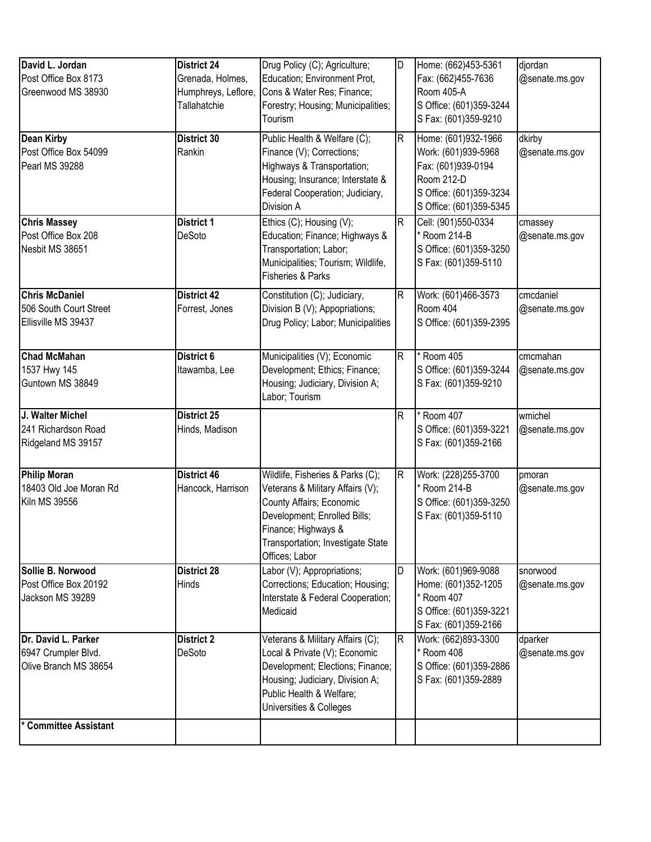| David L. Jordan<br>Post Office Box 8173<br>Greenwood MS 38930          | <b>District 24</b><br>Grenada, Holmes,<br>Humphreys, Leflore,<br>Tallahatchie | Drug Policy (C); Agriculture;<br>Education; Environment Prot,<br>Cons & Water Res; Finance;<br>Forestry; Housing; Municipalities;<br>Tourism                                                                   | D           | Home: (662)453-5361<br>Fax: (662)455-7636<br>Room 405-A<br>S Office: (601)359-3244<br>S Fax: (601)359-9210                           | djordan<br>@senate.ms.gov   |
|------------------------------------------------------------------------|-------------------------------------------------------------------------------|----------------------------------------------------------------------------------------------------------------------------------------------------------------------------------------------------------------|-------------|--------------------------------------------------------------------------------------------------------------------------------------|-----------------------------|
| <b>Dean Kirby</b><br>Post Office Box 54099<br>Pearl MS 39288           | <b>District 30</b><br>Rankin                                                  | Public Health & Welfare (C);<br>Finance (V); Corrections;<br>Highways & Transportation;<br>Housing; Insurance; Interstate &<br>Federal Cooperation; Judiciary,<br>Division A                                   | $\mathsf R$ | Home: (601)932-1966<br>Work: (601)939-5968<br>Fax: (601)939-0194<br>Room 212-D<br>S Office: (601)359-3234<br>S Office: (601)359-5345 | dkirby<br>@senate.ms.gov    |
| <b>Chris Massey</b><br>Post Office Box 208<br>Nesbit MS 38651          | <b>District 1</b><br>DeSoto                                                   | Ethics (C); Housing (V);<br>Education; Finance; Highways &<br>Transportation; Labor;<br>Municipalities; Tourism; Wildlife,<br><b>Fisheries &amp; Parks</b>                                                     | $\mathsf R$ | Cell: (901)550-0334<br>Room 214-B<br>S Office: (601)359-3250<br>S Fax: (601)359-5110                                                 | cmassey<br>@senate.ms.gov   |
| <b>Chris McDaniel</b><br>506 South Court Street<br>Ellisville MS 39437 | <b>District 42</b><br>Forrest, Jones                                          | Constitution (C); Judiciary,<br>Division B (V); Appopriations;<br>Drug Policy; Labor; Municipalities                                                                                                           | $\mathsf R$ | Work: (601)466-3573<br>Room 404<br>S Office: (601)359-2395                                                                           | cmcdaniel<br>@senate.ms.gov |
| <b>Chad McMahan</b><br>1537 Hwy 145<br>Guntown MS 38849                | District 6<br>Itawamba, Lee                                                   | Municipalities (V); Economic<br>Development; Ethics; Finance;<br>Housing; Judiciary, Division A;<br>Labor; Tourism                                                                                             | $\mathsf R$ | * Room 405<br>S Office: (601)359-3244<br>S Fax: (601)359-9210                                                                        | cmcmahan<br>@senate.ms.gov  |
| J. Walter Michel<br>241 Richardson Road<br>Ridgeland MS 39157          | District 25<br>Hinds, Madison                                                 |                                                                                                                                                                                                                | R           | $\sqrt{k}$ Room 407<br>S Office: (601)359-3221<br>S Fax: (601)359-2166                                                               | wmichel<br>@senate.ms.gov   |
| Philip Moran<br>18403 Old Joe Moran Rd<br>Kiln MS 39556                | <b>District 46</b><br>Hancock, Harrison                                       | Wildlife, Fisheries & Parks (C);<br>Veterans & Military Affairs (V);<br>County Affairs; Economic<br>Development; Enrolled Bills;<br>Finance; Highways &<br>Transportation; Investigate State<br>Offices; Labor | R.          | Work: (228) 255-3700<br>Room 214-B<br>S Office: (601)359-3250<br>S Fax: (601)359-5110                                                | pmoran<br>@senate.ms.gov    |
| Sollie B. Norwood<br>Post Office Box 20192<br>Jackson MS 39289         | <b>District 28</b><br>Hinds                                                   | Labor (V); Appropriations;<br>Corrections; Education; Housing;<br>Interstate & Federal Cooperation;<br>Medicaid                                                                                                | D           | Work: (601)969-9088<br>Home: (601)352-1205<br>Room 407<br>S Office: (601)359-3221<br>S Fax: (601)359-2166                            | snorwood<br>@senate.ms.gov  |
| Dr. David L. Parker<br>6947 Crumpler Blvd.<br>Olive Branch MS 38654    | <b>District 2</b><br>DeSoto                                                   | Veterans & Military Affairs (C);<br>Local & Private (V); Economic<br>Development; Elections; Finance;<br>Housing; Judiciary, Division A;<br>Public Health & Welfare;<br>Universities & Colleges                | R.          | Work: (662)893-3300<br>* Room 408<br>S Office: (601)359-2886<br>S Fax: (601)359-2889                                                 | dparker<br>@senate.ms.gov   |
| <b>Committee Assistant</b>                                             |                                                                               |                                                                                                                                                                                                                |             |                                                                                                                                      |                             |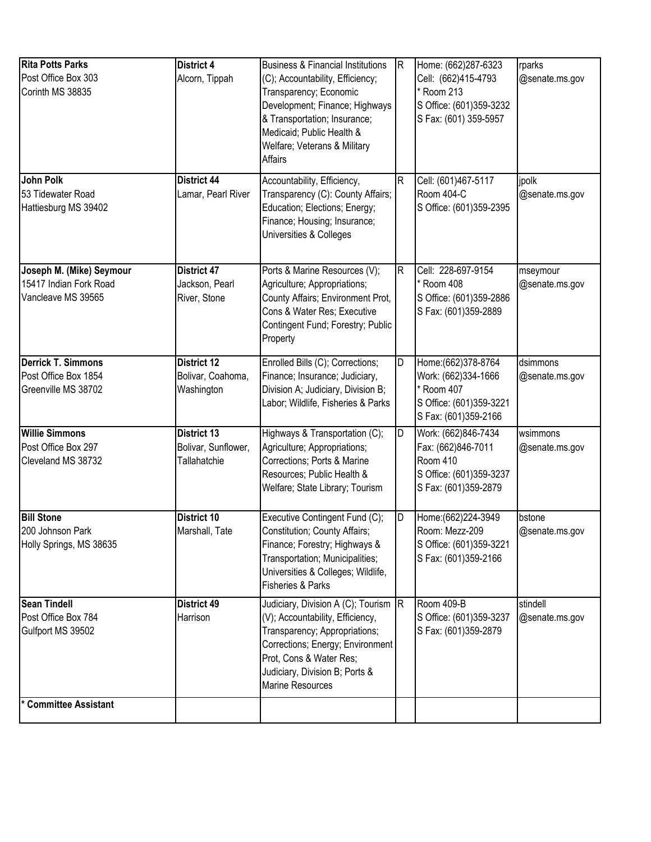| <b>Rita Potts Parks</b><br>Post Office Box 303<br>Corinth MS 38835<br>John Polk | District 4<br>Alcorn, Tippah<br>District 44           | <b>Business &amp; Financial Institutions</b><br>(C); Accountability, Efficiency;<br>Transparency; Economic<br>Development; Finance; Highways<br>& Transportation; Insurance;<br>Medicaid; Public Health &<br>Welfare; Veterans & Military<br>Affairs<br>Accountability, Efficiency, | IR.<br>R | Home: (662)287-6323<br>Cell: (662)415-4793<br>Room 213<br>S Office: (601)359-3232<br>S Fax: (601) 359-5957<br>Cell: (601)467-5117 | rparks<br>@senate.ms.gov<br>jpolk |
|---------------------------------------------------------------------------------|-------------------------------------------------------|-------------------------------------------------------------------------------------------------------------------------------------------------------------------------------------------------------------------------------------------------------------------------------------|----------|-----------------------------------------------------------------------------------------------------------------------------------|-----------------------------------|
| 53 Tidewater Road<br>Hattiesburg MS 39402                                       | Lamar, Pearl River                                    | Transparency (C): County Affairs;<br>Education; Elections; Energy;<br>Finance; Housing; Insurance;<br>Universities & Colleges                                                                                                                                                       |          | Room 404-C<br>S Office: (601)359-2395                                                                                             | @senate.ms.gov                    |
| Joseph M. (Mike) Seymour<br>15417 Indian Fork Road<br>Vancleave MS 39565        | District 47<br>Jackson, Pearl<br>River, Stone         | Ports & Marine Resources (V);<br>Agriculture; Appropriations;<br>County Affairs; Environment Prot,<br>Cons & Water Res; Executive<br>Contingent Fund; Forestry; Public<br>Property                                                                                                  | R        | Cell: 228-697-9154<br>* Room 408<br>S Office: (601)359-2886<br>S Fax: (601)359-2889                                               | mseymour<br>@senate.ms.gov        |
| <b>Derrick T. Simmons</b><br>Post Office Box 1854<br>Greenville MS 38702        | <b>District 12</b><br>Bolivar, Coahoma,<br>Washington | Enrolled Bills (C); Corrections;<br>Finance; Insurance; Judiciary,<br>Division A; Judiciary, Division B;<br>Labor; Wildlife, Fisheries & Parks                                                                                                                                      | D        | Home: (662) 378-8764<br>Work: (662)334-1666<br>Room 407<br>S Office: (601)359-3221<br>S Fax: (601)359-2166                        | dsimmons<br>@senate.ms.gov        |
| <b>Willie Simmons</b><br>Post Office Box 297<br>Cleveland MS 38732              | District 13<br>Bolivar, Sunflower,<br>Tallahatchie    | Highways & Transportation (C);<br>Agriculture; Appropriations;<br>Corrections; Ports & Marine<br>Resources; Public Health &<br>Welfare; State Library; Tourism                                                                                                                      | D        | Work: (662)846-7434<br>Fax: (662)846-7011<br>Room 410<br>S Office: (601)359-3237<br>S Fax: (601)359-2879                          | wsimmons<br>@senate.ms.gov        |
| <b>Bill Stone</b><br>200 Johnson Park<br>Holly Springs, MS 38635                | District 10<br>Marshall, Tate                         | Executive Contingent Fund (C);<br>Constitution; County Affairs;<br>Finance; Forestry; Highways &<br>Transportation; Municipalities;<br>Universities & Colleges; Wildlife,<br>Fisheries & Parks                                                                                      | D        | Home: (662) 224-3949<br>Room: Mezz-209<br>S Office: (601)359-3221<br>S Fax: (601)359-2166                                         | bstone<br>@senate.ms.gov          |
| <b>Sean Tindell</b><br>Post Office Box 784<br>Gulfport MS 39502                 | District 49<br>Harrison                               | Judiciary, Division A (C); Tourism R<br>(V); Accountability, Efficiency,<br>Transparency; Appropriations;<br>Corrections; Energy; Environment<br>Prot, Cons & Water Res;<br>Judiciary, Division B; Ports &<br><b>Marine Resources</b>                                               |          | Room 409-B<br>S Office: (601)359-3237<br>S Fax: (601)359-2879                                                                     | stindell<br>@senate.ms.gov        |
| <b>Committee Assistant</b>                                                      |                                                       |                                                                                                                                                                                                                                                                                     |          |                                                                                                                                   |                                   |